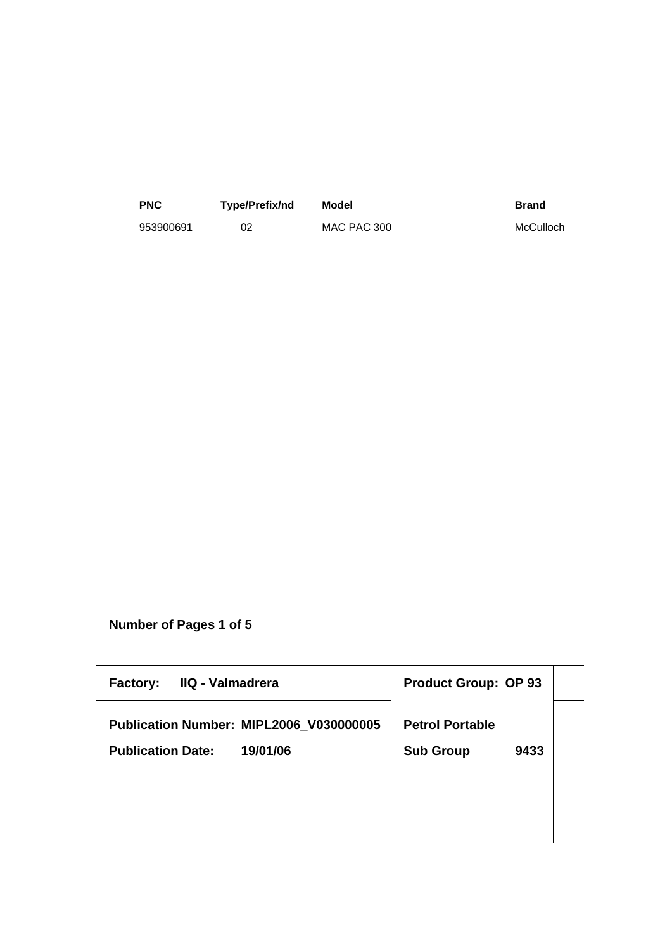| <b>PNC</b> | Type/Prefix/nd | Model       | <b>Brand</b> |
|------------|----------------|-------------|--------------|
| 953900691  |                | MAC PAC 300 | McCulloch    |

**Number of Pages 1 of 5**

| IIQ - Valmadrera<br><b>Factory:</b>     | <b>Product Group: OP 93</b> |  |
|-----------------------------------------|-----------------------------|--|
| Publication Number: MIPL2006_V030000005 | <b>Petrol Portable</b>      |  |
| 19/01/06<br><b>Publication Date:</b>    | <b>Sub Group</b><br>9433    |  |
|                                         |                             |  |
|                                         |                             |  |
|                                         |                             |  |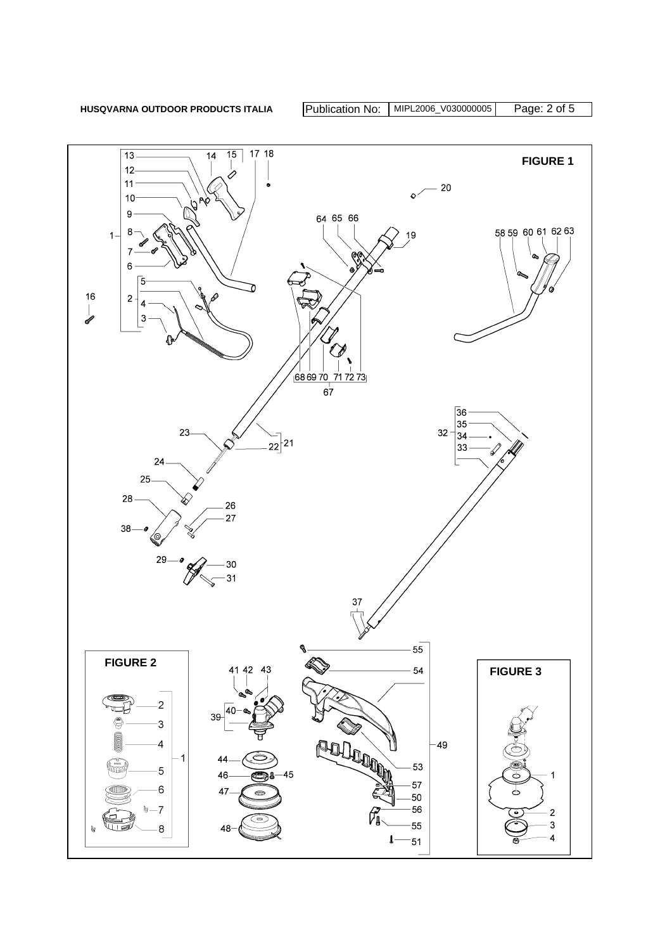

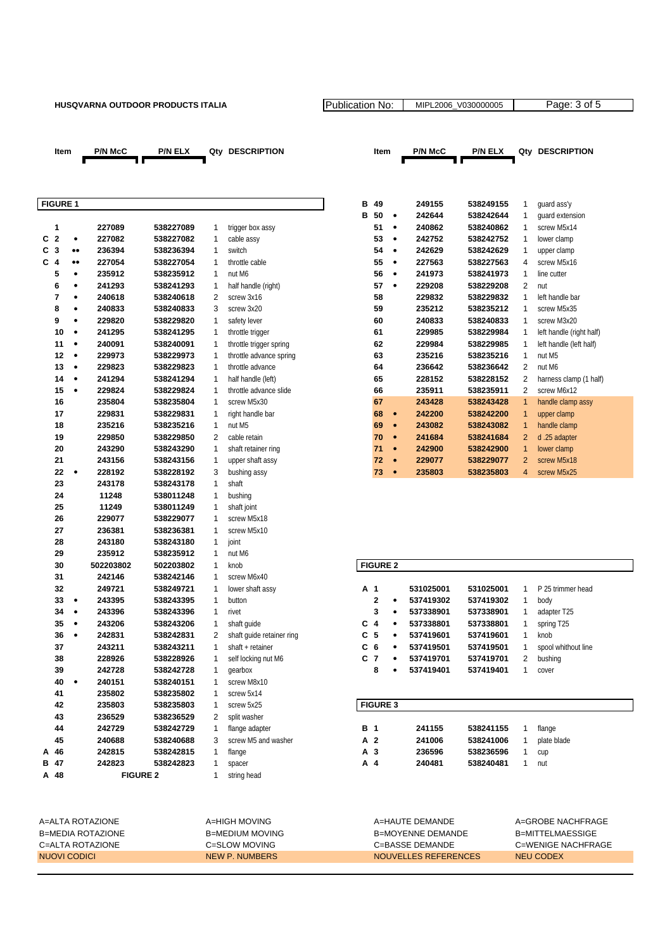## HUSQVARNA OUTDOOR PRODUCTS ITALIA Publication No: MIPL2006\_V030000005



| .                            |                  |                 |           |                |                           |                 |           | 27J I JJ  | JIVJ      |                | yuuru uss y                           |
|------------------------------|------------------|-----------------|-----------|----------------|---------------------------|-----------------|-----------|-----------|-----------|----------------|---------------------------------------|
|                              |                  |                 |           |                |                           | <b>B</b> 50     | $\bullet$ | 242644    | 538242644 | 1              | quard extension                       |
| 1                            |                  | 227089          | 538227089 | 1              | trigger box assy          | 51              | $\bullet$ | 240862    | 538240862 | 1              | screw M5x14                           |
| $\overline{2}$<br>C          | ۰                | 227082          | 538227082 | 1              | cable assy                | 53              | $\bullet$ | 242752    | 538242752 | 1              | lower clamp                           |
| С<br>$\mathbf{3}$            | $\bullet\bullet$ | 236394          | 538236394 | 1              | switch                    | 54              | $\bullet$ | 242629    | 538242629 | 1              | upper clamp                           |
| $\overline{\mathbf{4}}$<br>C | $\bullet\bullet$ | 227054          | 538227054 | 1              | throttle cable            | 55              | $\bullet$ | 227563    | 538227563 | $\overline{4}$ | screw M5x16                           |
| 5                            | ۰                | 235912          | 538235912 | $\mathbf{1}$   | nut M6                    | 56              | $\bullet$ | 241973    | 538241973 | $\mathbf{1}$   | line cutter                           |
| 6                            | ٠                | 241293          | 538241293 | 1              | half handle (right)       | 57              | $\bullet$ | 229208    | 538229208 | $\overline{2}$ | nut                                   |
| $\overline{7}$               | $\bullet$        | 240618          | 538240618 | $\overline{2}$ | screw 3x16                | 58              |           | 229832    | 538229832 | 1              | left handle bar                       |
| 8                            | ٠                | 240833          | 538240833 | 3              | screw 3x20                | 59              |           | 235212    | 538235212 | 1              | screw M5x35                           |
| 9                            | ۰                | 229820          | 538229820 | 1              | safety lever              | 60              |           | 240833    | 538240833 | 1              | screw M3x20                           |
| 10                           | $\bullet$        | 241295          | 538241295 | 1              | throttle trigger          | 61              |           | 229985    | 538229984 | $\mathbf{1}$   | left handle (right half)              |
| 11                           | $\bullet$        | 240091          | 538240091 | 1              | throttle trigger spring   | 62              |           | 229984    | 538229985 | $\mathbf{1}$   | left handle (left half)               |
| 12                           | $\bullet$        | 229973          | 538229973 | 1              | throttle advance spring   | 63              |           | 235216    | 538235216 | 1              | nut M5                                |
| 13                           | $\bullet$        | 229823          | 538229823 | 1              | throttle advance          | 64              |           | 236642    | 538236642 | $\overline{2}$ | nut M6                                |
| 14                           | ۰                | 241294          | 538241294 | 1              | half handle (left)        | 65              |           | 228152    | 538228152 | $\overline{2}$ |                                       |
| 15                           | $\bullet$        | 229824          |           | 1              | throttle advance slide    |                 |           |           |           | $\overline{2}$ | harness clamp (1 half)<br>screw M6x12 |
|                              |                  |                 | 538229824 |                |                           | 66              |           | 235911    | 538235911 |                |                                       |
| 16                           |                  | 235804          | 538235804 | 1              | screw M5x30               | 67              |           | 243428    | 538243428 | $\mathbf{1}$   | handle clamp assy                     |
| 17                           |                  | 229831          | 538229831 | 1              | right handle bar          | 68              | $\bullet$ | 242200    | 538242200 | $\mathbf{1}$   | upper clamp                           |
| 18                           |                  | 235216          | 538235216 | 1              | nut M5                    | 69              | $\bullet$ | 243082    | 538243082 | $\mathbf{1}$   | handle clamp                          |
| 19                           |                  | 229850          | 538229850 | 2              | cable retain              | 70              | $\bullet$ | 241684    | 538241684 | $\overline{c}$ | d.25 adapter                          |
| 20                           |                  | 243290          | 538243290 | 1              | shaft retainer ring       | 71              | $\bullet$ | 242900    | 538242900 | $\mathbf{1}$   | lower clamp                           |
| 21                           |                  | 243156          | 538243156 | 1              | upper shaft assy          | 72              | $\bullet$ | 229077    | 538229077 | $\overline{2}$ | screw M5x18                           |
| 22                           | ٠                | 228192          | 538228192 | 3              | bushing assy              | 73              | $\bullet$ | 235803    | 538235803 | $\overline{4}$ | screw M5x25                           |
| 23                           |                  | 243178          | 538243178 | 1              | shaft                     |                 |           |           |           |                |                                       |
| 24                           |                  | 11248           | 538011248 | 1              | bushing                   |                 |           |           |           |                |                                       |
| 25                           |                  | 11249           | 538011249 | 1              | shaft joint               |                 |           |           |           |                |                                       |
| 26                           |                  | 229077          | 538229077 | $\mathbf{1}$   | screw M5x18               |                 |           |           |           |                |                                       |
| 27                           |                  | 236381          | 538236381 | 1              | screw M5x10               |                 |           |           |           |                |                                       |
| 28                           |                  | 243180          | 538243180 | 1              | joint                     |                 |           |           |           |                |                                       |
| 29                           |                  | 235912          | 538235912 | 1              | nut M6                    |                 |           |           |           |                |                                       |
| 30                           |                  | 502203802       | 502203802 | $\mathbf{1}$   | knob                      | <b>FIGURE 2</b> |           |           |           |                |                                       |
| 31                           |                  | 242146          | 538242146 | 1              | screw M6x40               |                 |           |           |           |                |                                       |
| 32                           |                  | 249721          | 538249721 | 1              | lower shaft assy          | A 1             |           | 531025001 | 531025001 | 1              | P 25 trimmer head                     |
| 33                           | ٠                | 243395          | 538243395 | 1              | button                    | $\overline{2}$  | $\bullet$ | 537419302 | 537419302 | $\mathbf{1}$   | body                                  |
| 34                           | $\bullet$        | 243396          | 538243396 | 1              | rivet                     | 3               | $\bullet$ | 537338901 | 537338901 | 1              | adapter T25                           |
| 35                           | $\bullet$        | 243206          | 538243206 | 1              | shaft guide               | $C_4$           | $\bullet$ | 537338801 | 537338801 | 1              | spring T25                            |
| 36                           | $\bullet$        | 242831          | 538242831 | $\overline{2}$ | shaft guide retainer ring | C <sub>5</sub>  | $\bullet$ | 537419601 | 537419601 | 1              | knob                                  |
| 37                           |                  | 243211          | 538243211 | 1              | shaft + retainer          | C <sub>6</sub>  | $\bullet$ | 537419501 | 537419501 | 1              | spool whithout line                   |
| 38                           |                  | 228926          | 538228926 | $\mathbf{1}$   | self locking nut M6       | C <sub>7</sub>  | $\bullet$ | 537419701 | 537419701 | $\overline{2}$ | bushing                               |
| 39                           |                  | 242728          | 538242728 | 1              | qearbox                   | 8               |           | 537419401 | 537419401 | 1              | cover                                 |
| 40                           | $\bullet$        | 240151          | 538240151 | 1              | screw M8x10               |                 |           |           |           |                |                                       |
| 41                           |                  | 235802          | 538235802 | 1              | screw 5x14                |                 |           |           |           |                |                                       |
| 42                           |                  | 235803          | 538235803 | 1              | screw 5x25                | <b>FIGURE 3</b> |           |           |           |                |                                       |
| 43                           |                  | 236529          | 538236529 | $\overline{2}$ | split washer              |                 |           |           |           |                |                                       |
| 44                           |                  |                 |           | 1              |                           | B 1             |           |           |           |                |                                       |
| 45                           |                  | 242729          | 538242729 |                | flange adapter            | A 2             |           | 241155    | 538241155 | 1              | flange                                |
|                              |                  | 240688          | 538240688 | 3              | screw M5 and washer       |                 |           | 241006    | 538241006 | 1              | plate blade                           |
| 46<br>А                      |                  | 242815          | 538242815 | $\mathbf{1}$   | flange                    | A <sub>3</sub>  |           | 236596    | 538236596 | $\mathbf{1}$   | cup                                   |
| B 47                         |                  | 242823          | 538242823 | 1              | spacer                    | A 4             |           | 240481    | 538240481 | 1              | nut                                   |
| A 48                         |                  | <b>FIGURE 2</b> |           | $\mathbf{1}$   | string head               |                 |           |           |           |                |                                       |

|                 | Item |           | <b>P/N McC</b> | <b>P/N ELX</b> | Qty          | <b>DESCRIPTION</b>      |   | Item |           | <b>P/N McC</b> | <b>P/N ELX</b> | Qty            | <b>DESCRIPTION</b>       |
|-----------------|------|-----------|----------------|----------------|--------------|-------------------------|---|------|-----------|----------------|----------------|----------------|--------------------------|
|                 |      |           |                |                |              |                         |   |      |           |                |                |                |                          |
| <b>FIGURE 1</b> |      |           |                |                |              |                         | в | 49   |           | 249155         | 538249155      | 1              | quard ass'y              |
|                 |      |           |                |                |              |                         | в | 50   | ٠         | 242644         | 538242644      |                | quard extension          |
| 1               |      |           | 227089         | 538227089      | 1            | trigger box assy        |   | 51   | ٠         | 240862         | 538240862      |                | screw M5x14              |
| C <sub>2</sub>  |      | ٠         | 227082         | 538227082      | 1            | cable assy              |   | 53   | ٠         | 242752         | 538242752      |                | lower clamp              |
| C <sub>3</sub>  |      |           | 236394         | 538236394      | $\mathbf{1}$ | switch                  |   | 54   | ٠         | 242629         | 538242629      |                | upper clamp              |
| $C_4$           |      |           | 227054         | 538227054      | 1            | throttle cable          |   | 55   | ٠         | 227563         | 538227563      | 4              | screw M5x16              |
|                 | 5    | ٠         | 235912         | 538235912      | 1            | nut M6                  |   | 56   | ٠         | 241973         | 538241973      | 1              | line cutter              |
|                 | 6    | ٠         | 241293         | 538241293      | 1            | half handle (right)     |   | 57   | $\bullet$ | 229208         | 538229208      | 2              | nut                      |
|                 | 7    | ٠         | 240618         | 538240618      | 2            | screw 3x16              |   | 58   |           | 229832         | 538229832      | 1              | left handle bar          |
|                 | 8    | ٠         | 240833         | 538240833      | 3            | screw 3x20              |   | 59   |           | 235212         | 538235212      | 1              | screw M5x35              |
|                 | 9    | ٠         | 229820         | 538229820      | 1            | safety lever            |   | 60   |           | 240833         | 538240833      | 1              | screw M3x20              |
|                 | 10   |           | 241295         | 538241295      | 1            | throttle trigger        |   | 61   |           | 229985         | 538229984      |                | left handle (right half) |
|                 | 11   | $\bullet$ | 240091         | 538240091      | 1            | throttle trigger spring |   | 62   |           | 229984         | 538229985      | 1              | left handle (left half)  |
|                 | 12   | ٠         | 229973         | 538229973      | 1            | throttle advance spring |   | 63   |           | 235216         | 538235216      | $\mathbf{1}$   | nut M5                   |
|                 | 13   | ٠         | 229823         | 538229823      | $\mathbf{1}$ | throttle advance        |   | 64   |           | 236642         | 538236642      | 2              | nut M6                   |
|                 | 14   | ٠         | 241294         | 538241294      | 1            | half handle (left)      |   | 65   |           | 228152         | 538228152      | 2              | harness clamp (1 half)   |
|                 | 15   | $\bullet$ | 229824         | 538229824      | 1            | throttle advance slide  |   | 66   |           | 235911         | 538235911      | 2              | screw M6x12              |
|                 | 16   |           | 235804         | 538235804      | 1            | screw M5x30             |   | 67   |           | 243428         | 538243428      | 1              | handle clamp assy        |
|                 | 17   |           | 229831         | 538229831      | 1            | right handle bar        |   | 68   | $\bullet$ | 242200         | 538242200      | 1              | upper clamp              |
|                 | 18   |           | 235216         | 538235216      | $\mathbf{1}$ | nut M5                  |   | 69   | $\bullet$ | 243082         | 538243082      | $\mathbf{1}$   | handle clamp             |
|                 | 19   |           | 229850         | 538229850      | 2            | cable retain            |   | 70   | ۰         | 241684         | 538241684      | $\overline{2}$ | d.25 adapter             |
|                 | 20   |           | 243290         | 538243290      | 1            | shaft retainer ring     |   | 71   | $\bullet$ | 242900         | 538242900      | 1              | lower clamp              |
|                 | 21   |           | 243156         | 538243156      | 1            | upper shaft assy        |   | 72   | $\bullet$ | 229077         | 538229077      | $\overline{2}$ | screw M5x18              |
|                 | 22   |           | 228192         | 538228192      | 3            | bushing assy            |   | 73   | $\bullet$ | 235803         | 538235803      | 4              | screw M5x25              |

## $FIGURE 2$

| A  | 1            |   | 531025001 | 531025001 | 1 | P 25 trimmer head   |
|----|--------------|---|-----------|-----------|---|---------------------|
|    | $\mathbf{2}$ | ٠ | 537419302 | 537419302 | 1 | body                |
|    | 3            | ٠ | 537338901 | 537338901 | 1 | adapter T25         |
| C. | 4            | ٠ | 537338801 | 537338801 | 1 | spring T25          |
| C. | - 5          | ٠ | 537419601 | 537419601 | 1 | knob                |
| С  | 6            | ٠ | 537419501 | 537419501 | 1 | spool whithout line |
| C. | -7           | ٠ | 537419701 | 537419701 | 2 | bushing             |
|    | 8            | ٠ | 537419401 | 537419401 | 1 | cover               |

| <b>FIGURE 3</b> |        |           |             |
|-----------------|--------|-----------|-------------|
|                 |        |           |             |
| <b>B</b> 1      | 241155 | 538241155 | flange      |
| A 2             | 241006 | 538241006 | plate blade |
| A 3             | 236596 | 538236596 | cup         |
| A 4             | 240481 | 538240481 | nut         |
|                 |        |           |             |

| A=ALTA ROTAZIONE  | A=HIGH MOVING   | A=HAUTE DEMANDE      | A=GROBE NACHFRAGE  |
|-------------------|-----------------|----------------------|--------------------|
| B=MEDIA ROTAZIONE | B=MEDIUM MOVING | B=MOYFNNF DFMANDF    | B=MITTELMAESSIGE   |
| C=ALTA ROTAZIONE  | C=SLOW MOVING   | C=BASSE DEMANDE      | C=WENIGE NACHFRAGE |
| NUOVI CODICI      | NEW P. NUMBERS  | NOUVELLES REFERENCES | NEU CODEX          |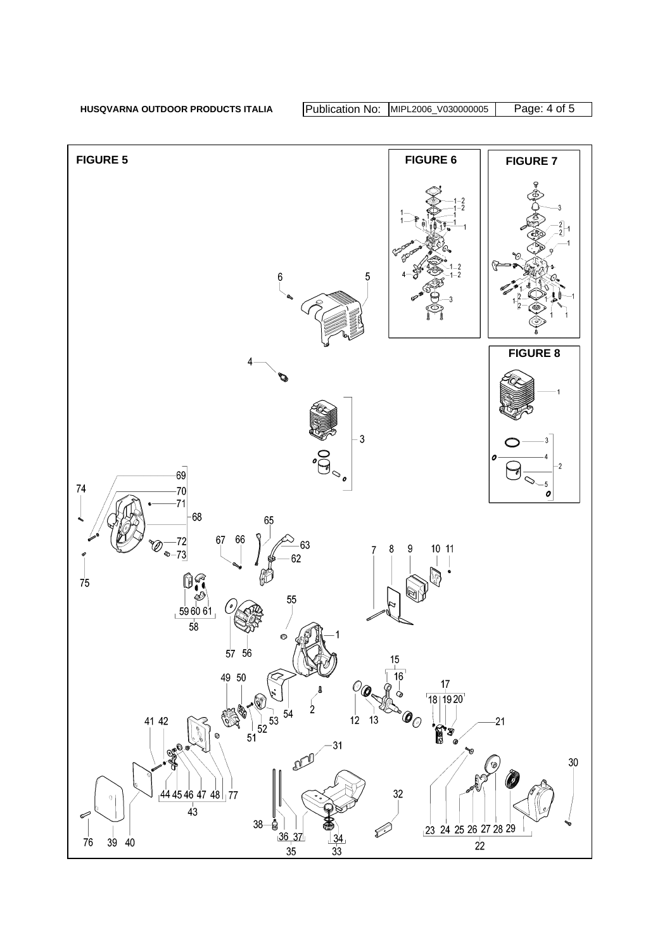HUSQVARNA OUTDOOR PRODUCTS ITALIA Publication No: MIPL2006\_V030000005 Page: 4 of 5